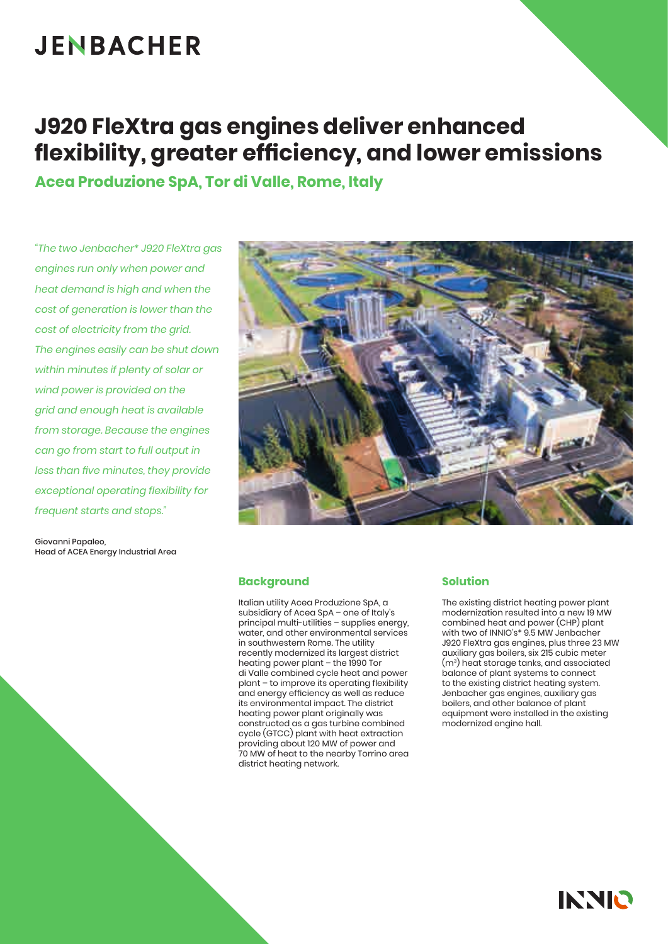# **JENBACHER**

# **J920 FleXtra gas engines deliver enhanced flexibility, greater efficiency, and lower emissions**

**Acea Produzione SpA, Tor di Valle, Rome, Italy**

*"The two Jenbacher\* J920 FleXtra gas engines run only when power and heat demand is high and when the cost of generation is lower than the cost of electricity from the grid. The engines easily can be shut down within minutes if plenty of solar or wind power is provided on the grid and enough heat is available from storage. Because the engines can go from start to full output in less than five minutes, they provide exceptional operating flexibility for frequent starts and stops."*

Giovanni Papaleo, Head of ACEA Energy Industrial Area



#### **Background**

Italian utility Acea Produzione SpA, a subsidiary of Acea SpA – one of Italy's principal multi-utilities – supplies energy, water, and other environmental services in southwestern Rome. The utility recently modernized its largest district heating power plant – the 1990 Tor di Valle combined cycle heat and power plant – to improve its operating flexibility and energy efficiency as well as reduce its environmental impact. The district heating power plant originally was constructed as a gas turbine combined cycle (GTCC) plant with heat extraction providing about 120 MW of power and 70 MW of heat to the nearby Torrino area district heating network.

#### **Solution**

The existing district heating power plant modernization resulted into a new 19 MW combined heat and power (CHP) plant with two of INNIO's\* 9.5 MW Jenbacher J920 FleXtra gas engines, plus three 23 MW auxiliary gas boilers, six 215 cubic meter (m3) heat storage tanks, and associated balance of plant systems to connect to the existing district heating system. Jenbacher gas engines, auxiliary gas boilers, and other balance of plant equipment were installed in the existing modernized engine hall.